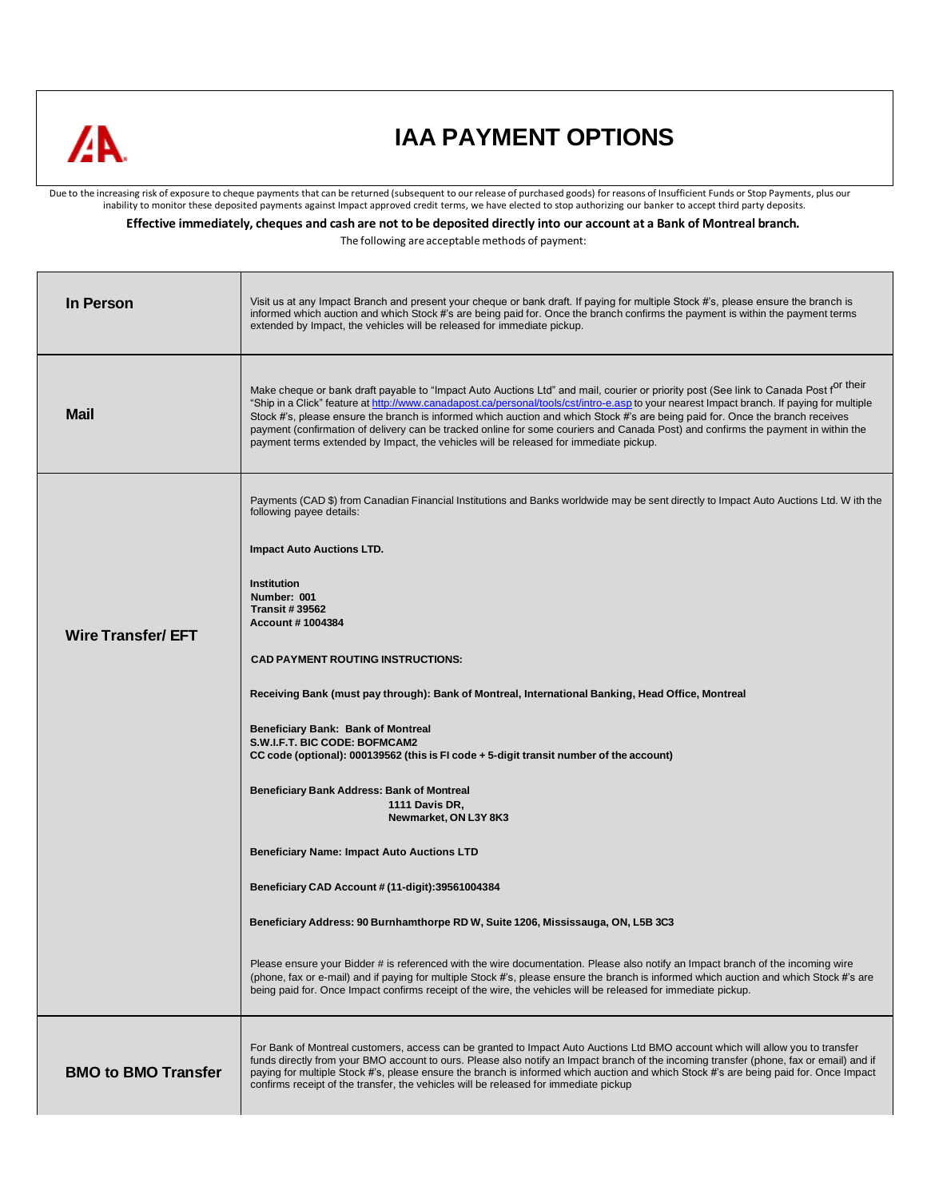

## **IAA PAYMENT OPTIONS**

Due to the increasing risk of exposure to cheque payments that can be returned (subsequent to our release of purchased goods) for reasons of Insufficient Funds or Stop Payments, plus our<br>inability to monitor these deposite

Effective immediately, cheques and cash are not to be deposited directly into our account at a Bank of Montreal branch.

The following are acceptable methods of payment:

| In Person                  | Visit us at any Impact Branch and present your cheque or bank draft. If paying for multiple Stock #'s, please ensure the branch is<br>informed which auction and which Stock #'s are being paid for. Once the branch confirms the payment is within the payment terms<br>extended by Impact, the vehicles will be released for immediate pickup.                                                                                                                                                                                                                                                                                                                |  |
|----------------------------|-----------------------------------------------------------------------------------------------------------------------------------------------------------------------------------------------------------------------------------------------------------------------------------------------------------------------------------------------------------------------------------------------------------------------------------------------------------------------------------------------------------------------------------------------------------------------------------------------------------------------------------------------------------------|--|
| <b>Mail</b>                | Make cheque or bank draft payable to "Impact Auto Auctions Ltd" and mail, courier or priority post (See link to Canada Post f <sup>or their</sup><br>"Ship in a Click" feature at http://www.canadapost.ca/personal/tools/cst/intro-e.asp to your nearest Impact branch. If paying for multiple<br>Stock #'s, please ensure the branch is informed which auction and which Stock #'s are being paid for. Once the branch receives<br>payment (confirmation of delivery can be tracked online for some couriers and Canada Post) and confirms the payment in within the<br>payment terms extended by Impact, the vehicles will be released for immediate pickup. |  |
|                            | Payments (CAD \$) from Canadian Financial Institutions and Banks worldwide may be sent directly to Impact Auto Auctions Ltd. W ith the<br>following payee details:                                                                                                                                                                                                                                                                                                                                                                                                                                                                                              |  |
|                            | <b>Impact Auto Auctions LTD.</b>                                                                                                                                                                                                                                                                                                                                                                                                                                                                                                                                                                                                                                |  |
| <b>Wire Transfer/ EFT</b>  | Institution<br>Number: 001<br><b>Transit #39562</b><br><b>Account #1004384</b>                                                                                                                                                                                                                                                                                                                                                                                                                                                                                                                                                                                  |  |
|                            | <b>CAD PAYMENT ROUTING INSTRUCTIONS:</b>                                                                                                                                                                                                                                                                                                                                                                                                                                                                                                                                                                                                                        |  |
|                            | Receiving Bank (must pay through): Bank of Montreal, International Banking, Head Office, Montreal                                                                                                                                                                                                                                                                                                                                                                                                                                                                                                                                                               |  |
|                            | Beneficiary Bank: Bank of Montreal<br>S.W.I.F.T. BIC CODE: BOFMCAM2<br>CC code (optional): 000139562 (this is FI code + 5-digit transit number of the account)                                                                                                                                                                                                                                                                                                                                                                                                                                                                                                  |  |
|                            | <b>Beneficiary Bank Address: Bank of Montreal</b><br>1111 Davis DR,                                                                                                                                                                                                                                                                                                                                                                                                                                                                                                                                                                                             |  |
|                            | Newmarket, ON L3Y 8K3                                                                                                                                                                                                                                                                                                                                                                                                                                                                                                                                                                                                                                           |  |
|                            | <b>Beneficiary Name: Impact Auto Auctions LTD</b>                                                                                                                                                                                                                                                                                                                                                                                                                                                                                                                                                                                                               |  |
|                            | Beneficiary CAD Account # (11-digit):39561004384                                                                                                                                                                                                                                                                                                                                                                                                                                                                                                                                                                                                                |  |
|                            | Beneficiary Address: 90 Burnhamthorpe RD W, Suite 1206, Mississauga, ON, L5B 3C3                                                                                                                                                                                                                                                                                                                                                                                                                                                                                                                                                                                |  |
|                            | Please ensure your Bidder # is referenced with the wire documentation. Please also notify an Impact branch of the incoming wire<br>(phone, fax or e-mail) and if paying for multiple Stock #'s, please ensure the branch is informed which auction and which Stock #'s are<br>being paid for. Once Impact confirms receipt of the wire, the vehicles will be released for immediate pickup.                                                                                                                                                                                                                                                                     |  |
| <b>BMO to BMO Transfer</b> | For Bank of Montreal customers, access can be granted to Impact Auto Auctions Ltd BMO account which will allow you to transfer<br>funds directly from your BMO account to ours. Please also notify an Impact branch of the incoming transfer (phone, fax or email) and if<br>paying for multiple Stock #'s, please ensure the branch is informed which auction and which Stock #'s are being paid for. Once Impact<br>confirms receipt of the transfer, the vehicles will be released for immediate pickup                                                                                                                                                      |  |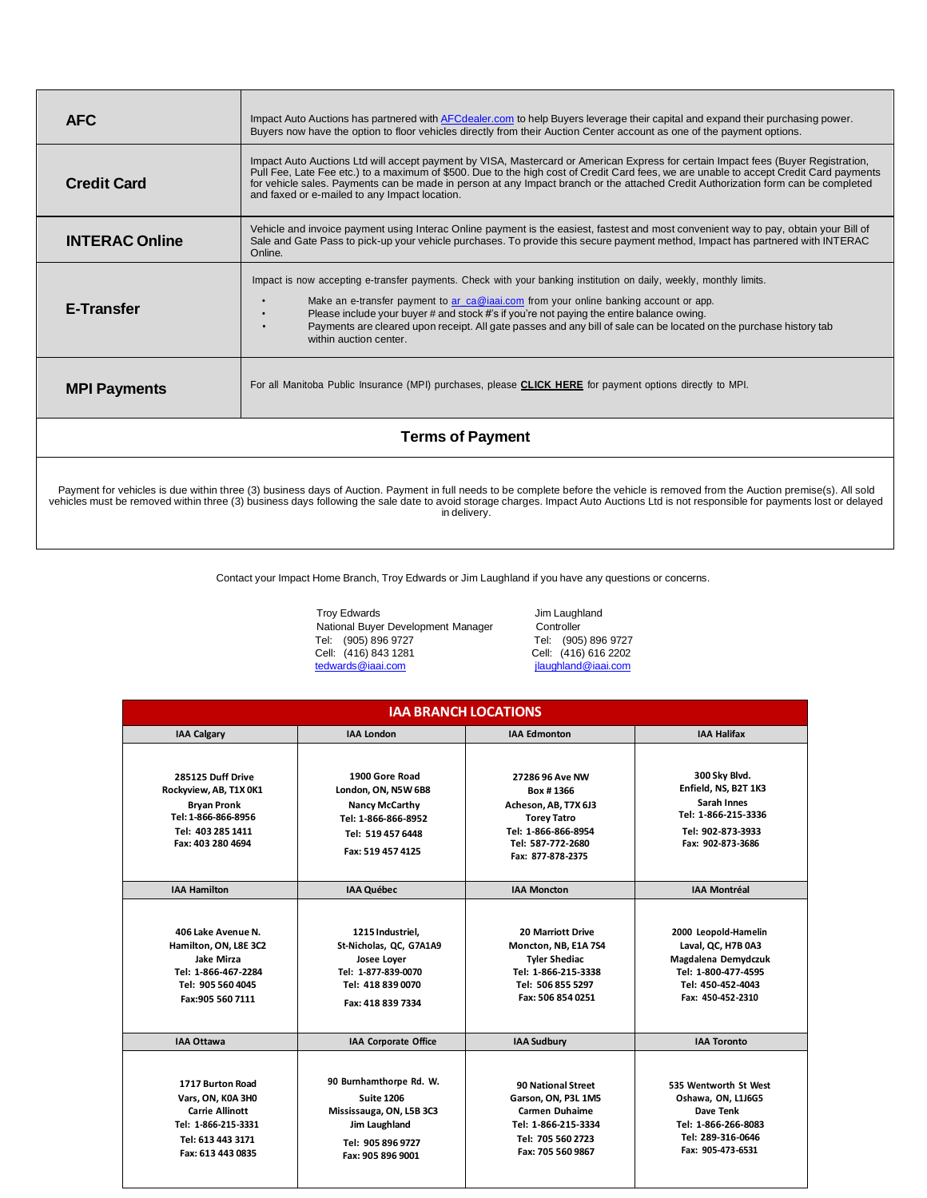| <b>AFC</b>              | Impact Auto Auctions has partnered with AFCdealer.com to help Buyers leverage their capital and expand their purchasing power.<br>Buyers now have the option to floor vehicles directly from their Auction Center account as one of the payment options.                                                                                                                                                                                                          |  |  |
|-------------------------|-------------------------------------------------------------------------------------------------------------------------------------------------------------------------------------------------------------------------------------------------------------------------------------------------------------------------------------------------------------------------------------------------------------------------------------------------------------------|--|--|
| <b>Credit Card</b>      | Impact Auto Auctions Ltd will accept payment by VISA, Mastercard or American Express for certain Impact fees (Buyer Registration,<br>Pull Fee, Late Fee etc.) to a maximum of \$500. Due to the high cost of Credit Card fees, we are unable to accept Credit Card payments<br>for vehicle sales. Payments can be made in person at any Impact branch or the attached Credit Authorization form can be completed<br>and faxed or e-mailed to any Impact location. |  |  |
| <b>INTERAC Online</b>   | Vehicle and invoice payment using Interac Online payment is the easiest, fastest and most convenient way to pay, obtain your Bill of<br>Sale and Gate Pass to pick-up your vehicle purchases. To provide this secure payment method, Impact has partnered with INTERAC<br>Online.                                                                                                                                                                                 |  |  |
| <b>E-Transfer</b>       | Impact is now accepting e-transfer payments. Check with your banking institution on daily, weekly, monthly limits.<br>Make an e-transfer payment to ar_ca@iaai.com from your online banking account or app.<br>Please include your buyer # and stock #'s if you're not paying the entire balance owing.<br>Payments are cleared upon receipt. All gate passes and any bill of sale can be located on the purchase history tab<br>within auction center.           |  |  |
| <b>MPI Payments</b>     | For all Manitoba Public Insurance (MPI) purchases, please CLICK HERE for payment options directly to MPI.                                                                                                                                                                                                                                                                                                                                                         |  |  |
| <b>Terms of Payment</b> |                                                                                                                                                                                                                                                                                                                                                                                                                                                                   |  |  |
|                         |                                                                                                                                                                                                                                                                                                                                                                                                                                                                   |  |  |

Payment for vehicles is due within three (3) business days of Auction. Payment in full needs to be complete before the vehicle is removed from the Auction premise(s). All sold<br>vehicles must be removed within three (3) busi

Contact your Impact Home Branch, Troy Edwards or Jim Laughland if you have any questions or concerns.

Troy Edwards **Contract Contract Contract Contract Contract Contract Contract Contract Contract Contract Contract Contract Contract Contract Contract Contract Contract Contract Contract Contract Contract Contract Contract C** National Buyer Development Manager Controller Tel: (905) 896 9727<br>Cell: (416) 843 1281<br>tedwards@iaai.com

Tel: (905) 896 9727 Tel: (905) 896 9727 [jlaughland@iaai.com](mailto:jlaughland@iaai.com)

| <b>IAA BRANCH LOCATIONS</b>                                                                                                        |                                                                                                                                     |                                                                                                                                             |                                                                                                                                    |  |  |
|------------------------------------------------------------------------------------------------------------------------------------|-------------------------------------------------------------------------------------------------------------------------------------|---------------------------------------------------------------------------------------------------------------------------------------------|------------------------------------------------------------------------------------------------------------------------------------|--|--|
| <b>IAA Calgary</b>                                                                                                                 | <b>IAA London</b>                                                                                                                   | <b>IAA Edmonton</b>                                                                                                                         | <b>IAA Halifax</b>                                                                                                                 |  |  |
| 285125 Duff Drive<br>Rockyview, AB, T1X 0K1<br><b>Bryan Pronk</b><br>Tel: 1-866-866-8956<br>Tel: 403 285 1411<br>Fax: 403 280 4694 | 1900 Gore Road<br>London, ON, N5W 6B8<br><b>Nancy McCarthy</b><br>Tel: 1-866-866-8952<br>Tel: 519 457 6448<br>Fax: 519 457 4125     | 27286 96 Ave NW<br>Box #1366<br>Acheson, AB, T7X 6J3<br><b>Torey Tatro</b><br>Tel: 1-866-866-8954<br>Tel: 587-772-2680<br>Fax: 877-878-2375 | 300 Sky Blvd.<br>Enfield, NS, B2T 1K3<br>Sarah Innes<br>Tel: 1-866-215-3336<br>Tel: 902-873-3933<br>Fax: 902-873-3686              |  |  |
| <b>IAA Hamilton</b>                                                                                                                | <b>IAA Québec</b>                                                                                                                   | <b>IAA Moncton</b>                                                                                                                          | <b>IAA Montréal</b>                                                                                                                |  |  |
| 406 Lake Avenue N.<br>Hamilton, ON, L8E 3C2<br>Jake Mirza<br>Tel: 1-866-467-2284<br>Tel: 905 560 4045<br>Fax: 905 560 7111         | 1215 Industriel,<br>St-Nicholas, QC, G7A1A9<br>Josee Loyer<br>Tel: 1-877-839-0070<br>Tel: 418 839 0070<br>Fax: 418 839 7334         | <b>20 Marriott Drive</b><br>Moncton, NB, E1A 7S4<br><b>Tyler Shediac</b><br>Tel: 1-866-215-3338<br>Tel: 506 855 5297<br>Fax: 506 854 0251   | 2000 Leopold-Hamelin<br>Laval, QC, H7B 0A3<br>Magdalena Demydczuk<br>Tel: 1-800-477-4595<br>Tel: 450-452-4043<br>Fax: 450-452-2310 |  |  |
| <b>IAA Ottawa</b>                                                                                                                  | IAA Corporate Office                                                                                                                | <b>IAA Sudbury</b>                                                                                                                          | <b>IAA Toronto</b>                                                                                                                 |  |  |
| 1717 Burton Road<br>Vars, ON, K0A 3H0<br><b>Carrie Allinott</b><br>Tel: 1-866-215-3331<br>Tel: 613 443 3171<br>Fax: 613 443 0835   | 90 Burnhamthorpe Rd. W.<br><b>Suite 1206</b><br>Mississauga, ON, L5B 3C3<br>Jim Laughland<br>Tel: 905 896 9727<br>Fax: 905 896 9001 | <b>90 National Street</b><br>Garson, ON, P3L 1M5<br>Carmen Duhaime<br>Tel: 1-866-215-3334<br>Tel: 705 560 2723<br>Fax: 705 560 9867         | 535 Wentworth St West<br>Oshawa, ON, L1J6G5<br>Dave Tenk<br>Tel: 1-866-266-8083<br>Tel: 289-316-0646<br>Fax: 905-473-6531          |  |  |